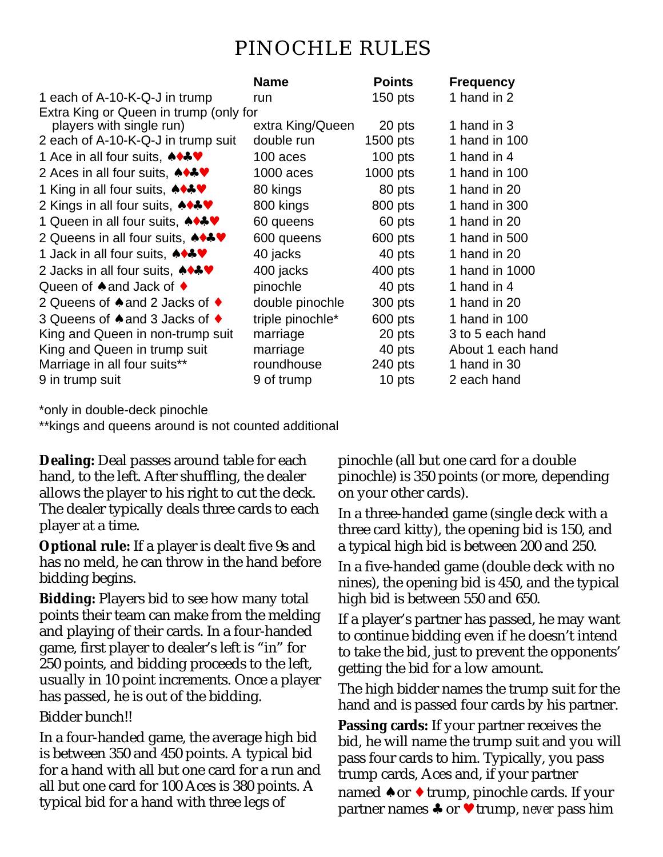## PINOCHLE RULES

|                                                    | <b>Name</b>      | <b>Points</b> | <b>Frequency</b>  |
|----------------------------------------------------|------------------|---------------|-------------------|
| 1 each of A-10-K-Q-J in trump                      | run              | $150$ pts     | 1 hand in 2       |
| Extra King or Queen in trump (only for             |                  |               |                   |
| players with single run)                           | extra King/Queen | 20 pts        | 1 hand in 3       |
| 2 each of A-10-K-Q-J in trump suit                 | double run       | $1500$ pts    | 1 hand in 100     |
| 1 Ace in all four suits, <b>↑↑↑♥</b>               | 100 aces         | $100$ pts     | 1 hand in 4       |
| 2 Aces in all four suits, <b>↑↑↑♥</b>              | 1000 aces        | $1000$ pts    | 1 hand in 100     |
| 1 King in all four suits, <b>↑↑↑♥</b>              | 80 kings         | 80 pts        | 1 hand in 20      |
| 2 Kings in all four suits, ◆◆◆♥                    | 800 kings        | 800 pts       | 1 hand in 300     |
| 1 Queen in all four suits, <b>↑↑↑♥</b>             | 60 queens        | 60 pts        | 1 hand in 20      |
| 2 Queens in all four suits, <b>↑↑↑♥</b>            | 600 queens       | 600 pts       | 1 hand in 500     |
| 1 Jack in all four suits, <b>↑↑↑♥</b>              | 40 jacks         | 40 pts        | 1 hand in 20      |
| 2 Jacks in all four suits, ◆◆◆♥                    | 400 jacks        | 400 pts       | 1 hand in 1000    |
| Queen of $\triangle$ and Jack of $\triangle$       | pinochle         | 40 pts        | 1 hand in 4       |
| 2 Queens of $\triangle$ and 2 Jacks of $\triangle$ | double pinochle  | 300 pts       | 1 hand in 20      |
| 3 Queens of ♦ and 3 Jacks of ♦                     | triple pinochle* | 600 pts       | 1 hand in 100     |
| King and Queen in non-trump suit                   | marriage         | 20 pts        | 3 to 5 each hand  |
| King and Queen in trump suit                       | marriage         | 40 pts        | About 1 each hand |
| Marriage in all four suits**                       | roundhouse       | 240 pts       | 1 hand in 30      |
| 9 in trump suit                                    | 9 of trump       | 10 pts        | 2 each hand       |

\*only in double-deck pinochle

\*\*kings and queens around is not counted additional

**Dealing:** Deal passes around table for each hand, to the left. After shuffling, the dealer allows the player to his right to cut the deck. The dealer typically deals three cards to each player at a time.

**Optional rule:** If a player is dealt five 9s and has no meld, he can throw in the hand before bidding begins.

**Bidding:** Players bid to see how many total points their team can make from the melding and playing of their cards. In a four-handed game, first player to dealer's left is "in" for 250 points, and bidding proceeds to the left, usually in 10 point increments. Once a player has passed, he is out of the bidding.

Bidder bunch!!

In a four-handed game, the average high bid is between 350 and 450 points. A typical bid for a hand with all but one card for a run and all but one card for 100 Aces is 380 points. A typical bid for a hand with three legs of

pinochle (all but one card for a double pinochle) is 350 points (or more, depending on your other cards).

In a three-handed game (single deck with a three card kitty), the opening bid is 150, and a typical high bid is between 200 and 250.

In a five-handed game (double deck with no nines), the opening bid is 450, and the typical high bid is between 550 and 650.

If a player's partner has passed, he may want to continue bidding even if he doesn't intend to take the bid, just to prevent the opponents' getting the bid for a low amount.

The high bidder names the trump suit for the hand and is passed four cards by his partner.

**Passing cards:** If your partner receives the bid, he will name the trump suit and you will pass four cards to him. Typically, you pass trump cards, Aces and, if your partner named  $\triangle$  or  $\triangle$  trump, pinochle cards. If your partner names ♣ or ♥ trump, *never* pass him